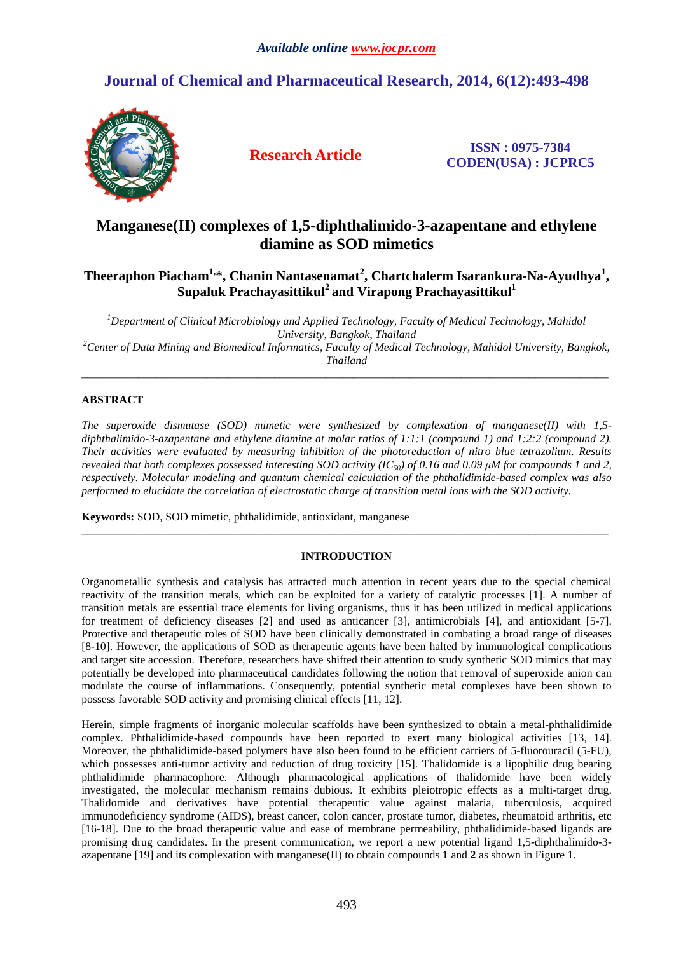# **Journal of Chemical and Pharmaceutical Research, 2014, 6(12):493-498**



**Research Article ISSN : 0975-7384 CODEN(USA) : JCPRC5**

# **Manganese(II) complexes of 1,5-diphthalimido-3-azapentane and ethylene diamine as SOD mimetics**

# **Theeraphon Piacham1,\*, Chanin Nantasenamat<sup>2</sup> , Chartchalerm Isarankura-Na-Ayudhya<sup>1</sup> , Supaluk Prachayasittikul<sup>2</sup>and Virapong Prachayasittikul<sup>1</sup>**

*<sup>1</sup>Department of Clinical Microbiology and Applied Technology, Faculty of Medical Technology, Mahidol University, Bangkok, Thailand <sup>2</sup>Center of Data Mining and Biomedical Informatics, Faculty of Medical Technology, Mahidol University, Bangkok, Thailand* 

\_\_\_\_\_\_\_\_\_\_\_\_\_\_\_\_\_\_\_\_\_\_\_\_\_\_\_\_\_\_\_\_\_\_\_\_\_\_\_\_\_\_\_\_\_\_\_\_\_\_\_\_\_\_\_\_\_\_\_\_\_\_\_\_\_\_\_\_\_\_\_\_\_\_\_\_\_\_\_\_\_\_\_\_\_\_\_\_\_\_\_\_\_

# **ABSTRACT**

*The superoxide dismutase (SOD) mimetic were synthesized by complexation of manganese(II) with 1,5 diphthalimido-3-azapentane and ethylene diamine at molar ratios of 1:1:1 (compound 1) and 1:2:2 (compound 2). Their activities were evaluated by measuring inhibition of the photoreduction of nitro blue tetrazolium. Results revealed that both complexes possessed interesting SOD activity (IC<sub>50</sub>) of 0.16 and 0.09 µM for compounds 1 and 2, respectively. Molecular modeling and quantum chemical calculation of the phthalidimide-based complex was also performed to elucidate the correlation of electrostatic charge of transition metal ions with the SOD activity.* 

**Keywords:** SOD, SOD mimetic, phthalidimide, antioxidant, manganese

# **INTRODUCTION**

\_\_\_\_\_\_\_\_\_\_\_\_\_\_\_\_\_\_\_\_\_\_\_\_\_\_\_\_\_\_\_\_\_\_\_\_\_\_\_\_\_\_\_\_\_\_\_\_\_\_\_\_\_\_\_\_\_\_\_\_\_\_\_\_\_\_\_\_\_\_\_\_\_\_\_\_\_\_\_\_\_\_\_\_\_\_\_\_\_\_\_\_\_

Organometallic synthesis and catalysis has attracted much attention in recent years due to the special chemical reactivity of the transition metals, which can be exploited for a variety of catalytic processes [1]. A number of transition metals are essential trace elements for living organisms, thus it has been utilized in medical applications for treatment of deficiency diseases [2] and used as anticancer [3], antimicrobials [4], and antioxidant [5-7]. Protective and therapeutic roles of SOD have been clinically demonstrated in combating a broad range of diseases [8-10]. However, the applications of SOD as therapeutic agents have been halted by immunological complications and target site accession. Therefore, researchers have shifted their attention to study synthetic SOD mimics that may potentially be developed into pharmaceutical candidates following the notion that removal of superoxide anion can modulate the course of inflammations. Consequently, potential synthetic metal complexes have been shown to possess favorable SOD activity and promising clinical effects [11, 12].

Herein, simple fragments of inorganic molecular scaffolds have been synthesized to obtain a metal-phthalidimide complex. Phthalidimide-based compounds have been reported to exert many biological activities [13, 14]. Moreover, the phthalidimide-based polymers have also been found to be efficient carriers of 5-fluorouracil (5-FU), which possesses anti-tumor activity and reduction of drug toxicity [15]. Thalidomide is a lipophilic drug bearing phthalidimide pharmacophore. Although pharmacological applications of thalidomide have been widely investigated, the molecular mechanism remains dubious. It exhibits pleiotropic effects as a multi-target drug. Thalidomide and derivatives have potential therapeutic value against malaria, tuberculosis, acquired immunodeficiency syndrome (AIDS), breast cancer, colon cancer, prostate tumor, diabetes, rheumatoid arthritis, etc [16-18]. Due to the broad therapeutic value and ease of membrane permeability, phthalidimide-based ligands are promising drug candidates. In the present communication, we report a new potential ligand 1,5-diphthalimido-3 azapentane [19] and its complexation with manganese(II) to obtain compounds **1** and **2** as shown in Figure 1.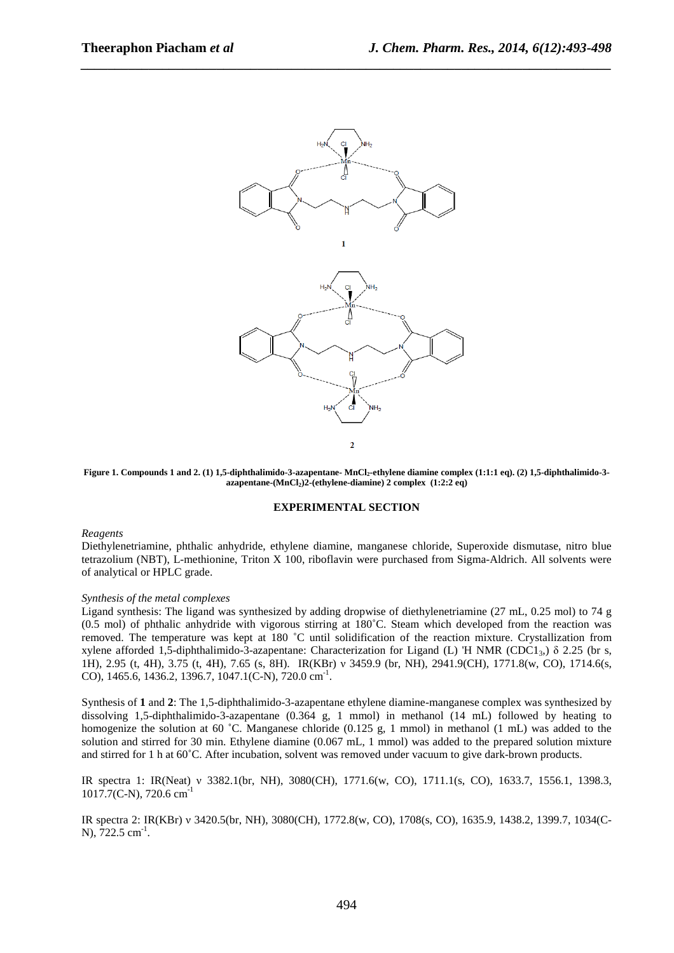

*\_\_\_\_\_\_\_\_\_\_\_\_\_\_\_\_\_\_\_\_\_\_\_\_\_\_\_\_\_\_\_\_\_\_\_\_\_\_\_\_\_\_\_\_\_\_\_\_\_\_\_\_\_\_\_\_\_\_\_\_\_\_\_\_\_\_\_\_\_\_\_\_\_\_\_\_\_\_*

**Figure 1. Compounds 1 and 2. (1) 1,5-diphthalimido-3-azapentane- MnCl2-ethylene diamine complex (1:1:1 eq). (2) 1,5-diphthalimido-3 azapentane-(MnCl2)2-(ethylene-diamine) 2 complex (1:2:2 eq)** 

# **EXPERIMENTAL SECTION**

#### *Reagents*

Diethylenetriamine, phthalic anhydride, ethylene diamine, manganese chloride, Superoxide dismutase, nitro blue tetrazolium (NBT), L-methionine, Triton X 100, riboflavin were purchased from Sigma-Aldrich. All solvents were of analytical or HPLC grade.

#### *Synthesis of the metal complexes*

Ligand synthesis: The ligand was synthesized by adding dropwise of diethylenetriamine (27 mL, 0.25 mol) to 74 g (0.5 mol) of phthalic anhydride with vigorous stirring at 180˚C. Steam which developed from the reaction was removed. The temperature was kept at 180 ˚C until solidification of the reaction mixture. Crystallization from xylene afforded 1,5-diphthalimido-3-azapentane: Characterization for Ligand (L) 'H NMR (CDC1<sub>3</sub>,)  $\delta$  2.25 (br s, 1H), 2.95 (t, 4H), 3.75 (t, 4H), 7.65 (s, 8H). IR(KBr) ν 3459.9 (br, NH), 2941.9(CH), 1771.8(w, CO), 1714.6(s, CO), 1465.6, 1436.2, 1396.7, 1047.1(C-N), 720.0 cm<sup>-1</sup>.

Synthesis of **1** and **2**: The 1,5-diphthalimido-3-azapentane ethylene diamine-manganese complex was synthesized by dissolving 1,5-diphthalimido-3-azapentane (0.364 g, 1 mmol) in methanol (14 mL) followed by heating to homogenize the solution at 60 °C. Manganese chloride (0.125 g, 1 mmol) in methanol (1 mL) was added to the solution and stirred for 30 min. Ethylene diamine (0.067 mL, 1 mmol) was added to the prepared solution mixture and stirred for 1 h at 60˚C. After incubation, solvent was removed under vacuum to give dark-brown products.

IR spectra 1: IR(Neat) ν 3382.1(br, NH), 3080(CH), 1771.6(w, CO), 1711.1(s, CO), 1633.7, 1556.1, 1398.3,  $1017.7(C-N)$ , 720.6 cm<sup>-1</sup>

IR spectra 2: IR(KBr) ν 3420.5(br, NH), 3080(CH), 1772.8(w, CO), 1708(s, CO), 1635.9, 1438.2, 1399.7, 1034(C-N),  $\bar{7}22.5$  cm<sup>-1</sup>.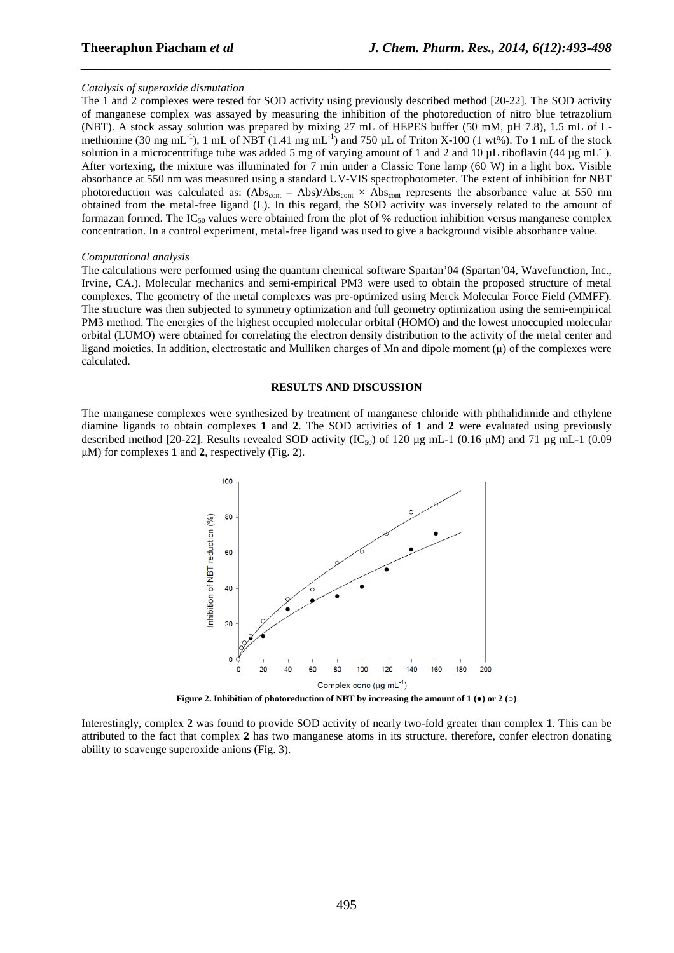#### *Catalysis of superoxide dismutation*

The 1 and 2 complexes were tested for SOD activity using previously described method [20-22]. The SOD activity of manganese complex was assayed by measuring the inhibition of the photoreduction of nitro blue tetrazolium (NBT). A stock assay solution was prepared by mixing 27 mL of HEPES buffer (50 mM, pH 7.8), 1.5 mL of Lmethionine (30 mg mL<sup>-1</sup>), 1 mL of NBT (1.41 mg mL<sup>-1</sup>) and 750 µL of Triton X-100 (1 wt%). To 1 mL of the stock solution in a microcentrifuge tube was added 5 mg of varying amount of 1 and 2 and 10  $\mu$ L riboflavin (44  $\mu$ g mL<sup>-1</sup>). After vortexing, the mixture was illuminated for 7 min under a Classic Tone lamp (60 W) in a light box. Visible absorbance at 550 nm was measured using a standard UV-VIS spectrophotometer. The extent of inhibition for NBT photoreduction was calculated as:  $(Abs_{cont} - Abs)/Abs_{cont} \times Abs_{cont}$  represents the absorbance value at 550 nm obtained from the metal-free ligand (L). In this regard, the SOD activity was inversely related to the amount of formazan formed. The IC<sub>50</sub> values were obtained from the plot of % reduction inhibition versus manganese complex concentration. In a control experiment, metal-free ligand was used to give a background visible absorbance value.

*\_\_\_\_\_\_\_\_\_\_\_\_\_\_\_\_\_\_\_\_\_\_\_\_\_\_\_\_\_\_\_\_\_\_\_\_\_\_\_\_\_\_\_\_\_\_\_\_\_\_\_\_\_\_\_\_\_\_\_\_\_\_\_\_\_\_\_\_\_\_\_\_\_\_\_\_\_\_*

#### *Computational analysis*

The calculations were performed using the quantum chemical software Spartan'04 (Spartan'04, Wavefunction, Inc., Irvine, CA.). Molecular mechanics and semi-empirical PM3 were used to obtain the proposed structure of metal complexes. The geometry of the metal complexes was pre-optimized using Merck Molecular Force Field (MMFF). The structure was then subjected to symmetry optimization and full geometry optimization using the semi-empirical PM3 method. The energies of the highest occupied molecular orbital (HOMO) and the lowest unoccupied molecular orbital (LUMO) were obtained for correlating the electron density distribution to the activity of the metal center and ligand moieties. In addition, electrostatic and Mulliken charges of Mn and dipole moment  $(\mu)$  of the complexes were calculated.

#### **RESULTS AND DISCUSSION**

The manganese complexes were synthesized by treatment of manganese chloride with phthalidimide and ethylene diamine ligands to obtain complexes **1** and **2**. The SOD activities of **1** and **2** were evaluated using previously described method [20-22]. Results revealed SOD activity  $(IC_{50})$  of 120 µg mL-1  $(0.16 \mu M)$  and 71 µg mL-1  $(0.09$ µM) for complexes **1** and **2**, respectively (Fig. 2).



**Figure 2. Inhibition of photoreduction of NBT by increasing the amount of 1 (●) or 2 (○)** 

Interestingly, complex **2** was found to provide SOD activity of nearly two-fold greater than complex **1**. This can be attributed to the fact that complex **2** has two manganese atoms in its structure, therefore, confer electron donating ability to scavenge superoxide anions (Fig. 3).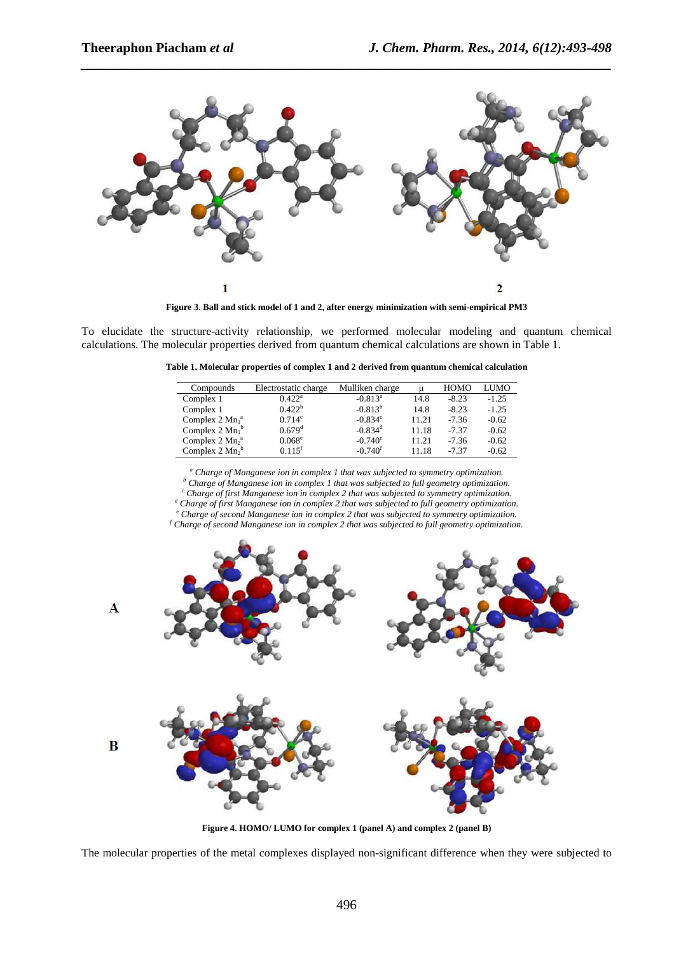

*\_\_\_\_\_\_\_\_\_\_\_\_\_\_\_\_\_\_\_\_\_\_\_\_\_\_\_\_\_\_\_\_\_\_\_\_\_\_\_\_\_\_\_\_\_\_\_\_\_\_\_\_\_\_\_\_\_\_\_\_\_\_\_\_\_\_\_\_\_\_\_\_\_\_\_\_\_\_*

**Figure 3. Ball and stick model of 1 and 2, after energy minimization with semi-empirical PM3** 

To elucidate the structure-activity relationship, we performed molecular modeling and quantum chemical calculations. The molecular properties derived from quantum chemical calculations are shown in Table 1.

|  | Table 1. Molecular properties of complex 1 and 2 derived from quantum chemical calculation |  |  |  |
|--|--------------------------------------------------------------------------------------------|--|--|--|
|  |                                                                                            |  |  |  |

| Compounds                         | Electrostatic charge | Mulliken charge       | п     | HOMO    | <b>LUMO</b> |
|-----------------------------------|----------------------|-----------------------|-------|---------|-------------|
| Complex 1                         | $0.422^a$            | $-0.813^a$            | 14.8  | $-8.23$ | $-1.25$     |
| Complex 1                         | $0.422^b$            | $-0.813^{b}$          | 14.8  | $-8.23$ | $-1.25$     |
| Complex $2 \text{ Mn}^a$          | $0.714^c$            | $-0.834^{\circ}$      | 11.21 | $-7.36$ | $-0.62$     |
| Complex $2 \text{ Mn}^{\text{b}}$ | $0.679$ <sup>d</sup> | $-0.834$ <sup>d</sup> | 11.18 | $-7.37$ | $-0.62$     |
| Complex $2 \text{ Mn}_2^a$        | $0.068^{\circ}$      | $-0.740^{\circ}$      | 11.21 | $-7.36$ | $-0.62$     |
| Complex $2 \text{ Mn}^{\,b}$      | $0.115$ <sup>f</sup> | $-0.740f$             | 11.18 | $-7.37$ | $-0.62$     |
|                                   |                      |                       |       |         |             |

<sup>a</sup> Charge of Manganese ion in complex 1 that was subjected to symmetry optimization.

<sup>*b*</sup> Charge of Manganese ion in complex 1 that was subjected to full geometry optimization.

<sup>c</sup> Charge of first Manganese ion in complex 2 that was subjected to symmetry optimization.

<sup>d</sup> Charge of first Manganese ion in complex 2 that was subjected to full geometry optimization. <sup>e</sup> Charge of second Manganese ion in complex 2 that was subjected to symmetry optimization.

*f Charge of second Manganese ion in complex 2 that was subjected to full geometry optimization.* 



**Figure 4. HOMO/ LUMO for complex 1 (panel A) and complex 2 (panel B)** 

The molecular properties of the metal complexes displayed non-significant difference when they were subjected to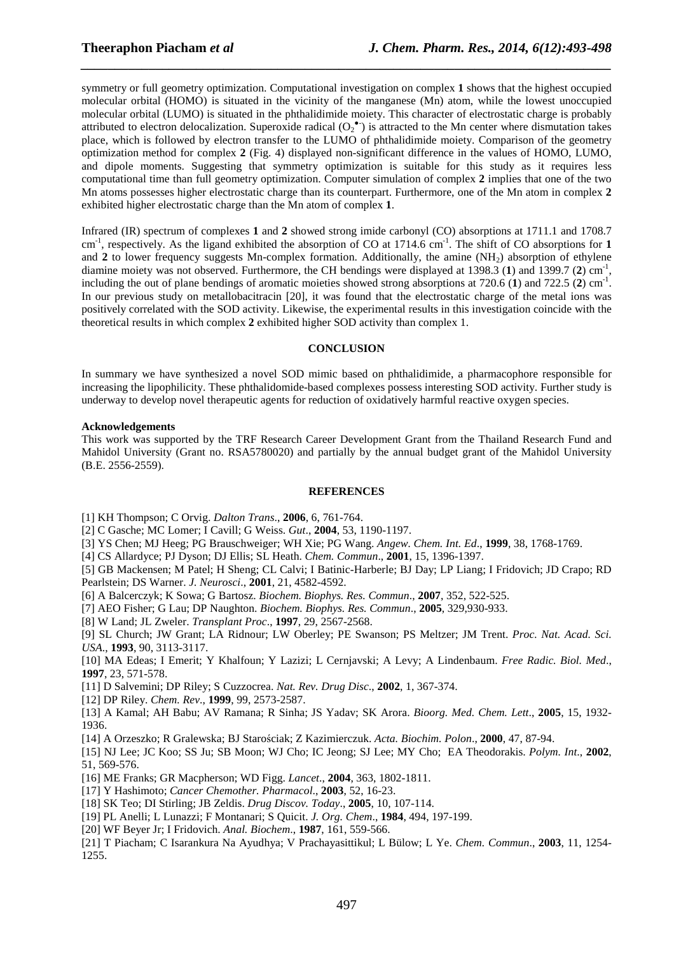symmetry or full geometry optimization. Computational investigation on complex **1** shows that the highest occupied molecular orbital (HOMO) is situated in the vicinity of the manganese (Mn) atom, while the lowest unoccupied molecular orbital (LUMO) is situated in the phthalidimide moiety. This character of electrostatic charge is probably attributed to electron delocalization. Superoxide radical  $(O_2^{\bullet})$  is attracted to the Mn center where dismutation takes place, which is followed by electron transfer to the LUMO of phthalidimide moiety. Comparison of the geometry optimization method for complex **2** (Fig. 4) displayed non-significant difference in the values of HOMO, LUMO, and dipole moments. Suggesting that symmetry optimization is suitable for this study as it requires less computational time than full geometry optimization. Computer simulation of complex **2** implies that one of the two Mn atoms possesses higher electrostatic charge than its counterpart. Furthermore, one of the Mn atom in complex **2**  exhibited higher electrostatic charge than the Mn atom of complex **1**.

*\_\_\_\_\_\_\_\_\_\_\_\_\_\_\_\_\_\_\_\_\_\_\_\_\_\_\_\_\_\_\_\_\_\_\_\_\_\_\_\_\_\_\_\_\_\_\_\_\_\_\_\_\_\_\_\_\_\_\_\_\_\_\_\_\_\_\_\_\_\_\_\_\_\_\_\_\_\_*

Infrared (IR) spectrum of complexes **1** and **2** showed strong imide carbonyl (CO) absorptions at 1711.1 and 1708.7  $cm^{-1}$ , respectively. As the ligand exhibited the absorption of CO at 1714.6  $cm^{-1}$ . The shift of CO absorptions for 1 and **2** to lower frequency suggests Mn-complex formation. Additionally, the amine (NH<sub>2</sub>) absorption of ethylene diamine moiety was not observed. Furthermore, the CH bendings were displayed at 1398.3 (**1**) and 1399.7 (**2**) cm-1 , including the out of plane bendings of aromatic moieties showed strong absorptions at 720.6 (**1**) and 722.5 (**2**) cm-1 . In our previous study on metallobacitracin [20], it was found that the electrostatic charge of the metal ions was positively correlated with the SOD activity. Likewise, the experimental results in this investigation coincide with the theoretical results in which complex **2** exhibited higher SOD activity than complex 1.

### **CONCLUSION**

In summary we have synthesized a novel SOD mimic based on phthalidimide, a pharmacophore responsible for increasing the lipophilicity. These phthalidomide-based complexes possess interesting SOD activity. Further study is underway to develop novel therapeutic agents for reduction of oxidatively harmful reactive oxygen species.

### **Acknowledgements**

This work was supported by the TRF Research Career Development Grant from the Thailand Research Fund and Mahidol University (Grant no. RSA5780020) and partially by the annual budget grant of the Mahidol University (B.E. 2556-2559).

# **REFERENCES**

[1] KH Thompson; C Orvig. *Dalton Trans*., **2006**, 6, 761-764.

- [2] C Gasche; MC Lomer; I Cavill; G Weiss. *Gut*., **2004**, 53, 1190-1197.
- [3] YS Chen; MJ Heeg; PG Brauschweiger; WH Xie; PG Wang. *Angew. Chem. Int. Ed*., **1999**, 38, 1768-1769.
- [4] CS Allardyce; PJ Dyson; DJ Ellis; SL Heath. *Chem. Commun*., **2001**, 15, 1396-1397.
- [5] GB Mackensen; M Patel; H Sheng; CL Calvi; I Batinic-Harberle; BJ Day; LP Liang; I Fridovich; JD Crapo; RD Pearlstein; DS Warner. *J. Neurosci*., **2001**, 21, 4582-4592.
- [6] A Balcerczyk; K Sowa; G Bartosz. *Biochem. Biophys. Res. Commun*., **2007**, 352, 522-525.
- [7] AEO Fisher; G Lau; DP Naughton. *Biochem. Biophys. Res. Commun*., **2005**, 329,930-933.
- [8] W Land; JL Zweler. *Transplant Proc*., **1997**, 29, 2567-2568.

[9] SL Church; JW Grant; LA Ridnour; LW Oberley; PE Swanson; PS Meltzer; JM Trent. *Proc. Nat. Acad. Sci. USA*., **1993**, 90, 3113-3117.

[10] MA Edeas; I Emerit; Y Khalfoun; Y Lazizi; L Cernjavski; A Levy; A Lindenbaum. *Free Radic. Biol. Med*., **1997**, 23, 571-578.

[11] D Salvemini; DP Riley; S Cuzzocrea. *Nat. Rev. Drug Disc*., **2002**, 1, 367-374.

[12] DP Riley. *Chem. Rev*., **1999**, 99, 2573-2587.

[13] A Kamal; AH Babu; AV Ramana; R Sinha; JS Yadav; SK Arora. *Bioorg. Med. Chem. Lett*., **2005**, 15, 1932- 1936.

[14] A Orzeszko; R Gralewska; BJ Starościak; Z Kazimierczuk. *Acta. Biochim. Polon*., **2000**, 47, 87-94.

[15] NJ Lee; JC Koo; SS Ju; SB Moon; WJ Cho; IC Jeong; SJ Lee; MY Cho; EA Theodorakis. *Polym. Int*., **2002**, 51, 569-576.

- [16] ME Franks; GR Macpherson; WD Figg. *Lancet*., **2004**, 363, 1802-1811.
- [17] Y Hashimoto; *Cancer Chemother. Pharmacol*., **2003**, 52, 16-23.
- [18] SK Teo; DI Stirling; JB Zeldis. *Drug Discov. Today*., **2005**, 10, 107-114.
- [19] PL Anelli; L Lunazzi; F Montanari; S Quicit. *J. Org. Chem*., **1984**, 494, 197-199.
- [20] WF Beyer Jr; I Fridovich. *Anal. Biochem*., **1987**, 161, 559-566.
- [21] T Piacham; C Isarankura Na Ayudhya; V Prachayasittikul; L Bülow; L Ye. *Chem. Commun*., **2003**, 11, 1254- 1255.